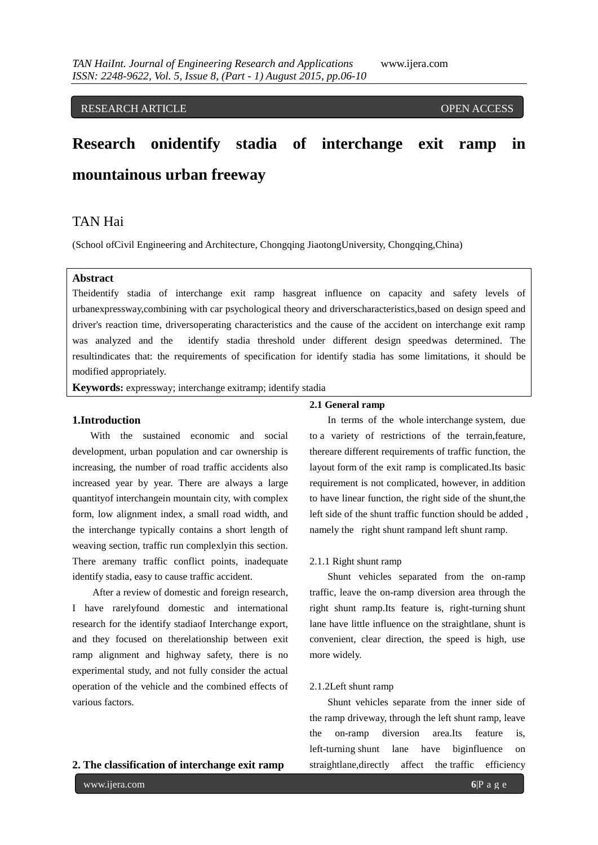RESEARCH ARTICLE **External of the USA CONSTRUCT OF ACCESS** 

# **Research onidentify stadia of interchange exit ramp in mountainous urban freeway**

# TAN Hai

(School ofCivil Engineering and Architecture, Chongqing JiaotongUniversity, Chongqing,China)

## **Abstract**

Theidentify stadia of interchange exit ramp hasgreat influence on capacity and safety levels of urbanexpressway,combining with car psychological theory and driverscharacteristics,based on design speed and driver's reaction time, driversoperating characteristics and the cause of the accident on interchange exit ramp was analyzed and the identify stadia threshold under different design speedwas determined. The resultindicates that: the requirements of specification for identify stadia has some limitations, it should be modified appropriately.

**Keywords:** expressway; interchange exitramp; identify stadia

#### **1.Introduction**

With the sustained economic and social development, urban population and car ownership is increasing, the number of road traffic accidents also increased year by year. There are always a large quantityof interchangein mountain city, with complex form, low alignment index, a small road width, and the interchange typically contains a short length of weaving section, traffic run complexlyin this section. There aremany traffic conflict points, inadequate identify stadia, easy to cause traffic accident.

After a review of domestic and foreign research, I have rarelyfound domestic and international research for the identify stadiaof Interchange export, and they focused on therelationship between exit ramp alignment and highway safety, there is no experimental study, and not fully consider the actual operation of the vehicle and the combined effects of various factors.

#### **2.1 General ramp**

In terms of the whole interchange system, due to a variety of restrictions of the terrain,feature, thereare different requirements of traffic function, the layout form of the exit ramp is complicated.Its basic requirement is not complicated, however, in addition to have linear function, the right side of the shunt,the left side of the shunt traffic function should be added , namely the right shunt rampand left shunt ramp.

#### 2.1.1 Right shunt ramp

Shunt vehicles separated from the on-ramp traffic, leave the on-ramp diversion area through the right shunt ramp.Its feature is, right-turning shunt lane have little influence on the straightlane, shunt is convenient, clear direction, the speed is high, use more widely.

#### 2.1.2Left shunt ramp

Shunt vehicles separate from the inner side of the ramp driveway, through the left shunt ramp, leave the on-ramp diversion area.Its feature is, left-turning shunt lane have biginfluence on straightlane,directly affect the traffic efficiency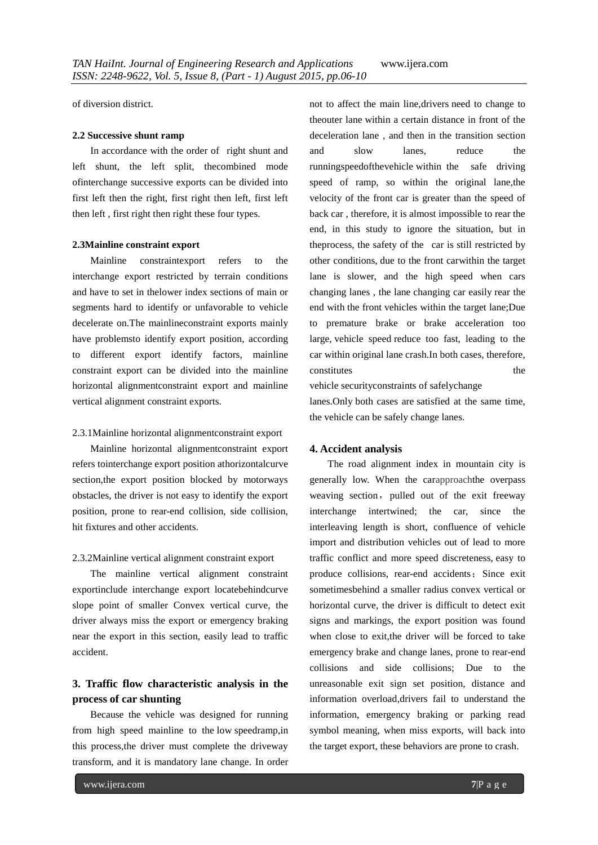of diversion district.

#### **2.2 Successive shunt ramp**

In accordance with the order of right shunt and left shunt, the left split, thecombined mode ofinterchange successive exports can be divided into first left then the right, first right then left, first left then left , first right then right these four types.

#### **2.3Mainline constraint export**

Mainline constraintexport refers to the interchange export restricted by terrain conditions and have to set in thelower index sections of main or segments hard to identify or unfavorable to vehicle decelerate on.The mainlineconstraint exports mainly have problemsto identify export position, according to different export identify factors, mainline constraint export can be divided into the mainline horizontal alignmentconstraint export and mainline vertical alignment constraint exports.

#### 2.3.1Mainline horizontal alignmentconstraint export

Mainline horizontal alignmentconstraint export refers tointerchange export position athorizontalcurve section,the export position blocked by motorways obstacles, the driver is not easy to identify the export position, prone to rear-end collision, side collision, hit fixtures and other accidents.

#### 2.3.2Mainline vertical alignment constraint export

The mainline vertical alignment constraint exportinclude interchange export locatebehindcurve slope point of smaller Convex vertical curve, the driver always miss the export or emergency braking near the export in this section, easily lead to traffic accident.

# **3. Traffic flow characteristic analysis in the process of car shunting**

Because the vehicle was designed for running from high speed mainline to the low speedramp,in this process,the driver must complete the driveway transform, and it is mandatory lane change. In order not to affect the main line,drivers need to change to theouter lane within a certain distance in front of the deceleration lane , and then in the transition section and slow lanes, reduce the runningspeedofthevehicle within the safe driving speed of ramp, so within the original lane,the velocity of the front car is greater than the speed of back car , therefore, it is almost impossible to rear the end, in this study to ignore the situation, but in theprocess, the safety of the car is still restricted by other conditions, due to the front carwithin the target lane is slower, and the high speed when cars changing lanes , the lane changing car easily rear the end with the front vehicles within the target lane;Due to premature brake or brake acceleration too large, vehicle speed reduce too fast, leading to the car within original lane crash.In both cases, therefore, constitutes the the set of the set of the set of the set of the set of the set of the set of the set of the set of the set of the set of the set of the set of the set of the set of the set of the set of the set of the set

vehicle securityconstraints of safelychange lanes.Only both cases are satisfied at the same time, the vehicle can be safely change lanes.

### **4. Accident analysis**

The road alignment index in mountain city is generally low. When the carapproachthe overpass weaving section, pulled out of the exit freeway interchange intertwined; the car, since the interleaving length is short, confluence of vehicle import and distribution vehicles out of lead to more traffic conflict and more speed discreteness, easy to produce collisions, rear-end accidents; Since exit sometimesbehind a smaller radius convex vertical or horizontal curve, the driver is difficult to detect exit signs and markings, the export position was found when close to exit,the driver will be forced to take emergency brake and change lanes, prone to rear-end collisions and side collisions; Due to the unreasonable exit sign set position, distance and information overload,drivers fail to understand the information, emergency braking or parking read symbol meaning, when miss exports, will back into the target export, these behaviors are prone to crash.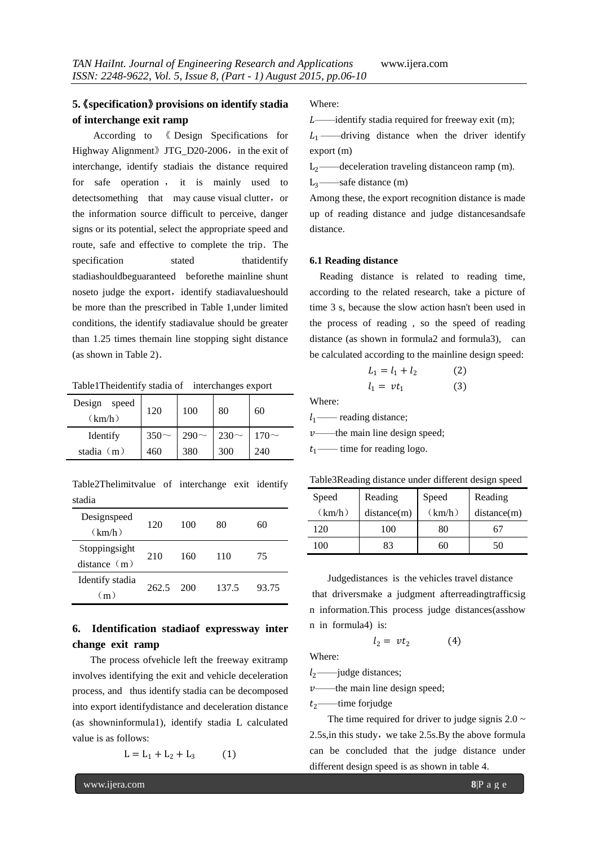## **5.**《**specification**》**provisions on identify stadia of interchange exit ramp**

According to 《 Design Specifications for Highway Alignment》JTG D20-2006, in the exit of interchange, identify stadiais the distance required for safe operation , it is mainly used to detectsomething that may cause visual clutter, or the information source difficult to perceive, danger signs or its potential, select the appropriate speed and route, safe and effective to complete the trip. The specification stated thatidentify stadiashouldbeguaranteed beforethe mainline shunt noseto judge the export, identify stadiavalueshould be more than the prescribed in Table 1,under limited conditions, the identify stadiavalue should be greater than 1.25 times themain line stopping sight distance (as shown in Table 2).

Table1Theidentify stadia of interchanges export

| Design<br>speed<br>(km/h) | 120       | 100       | 80        | 60         |
|---------------------------|-----------|-----------|-----------|------------|
| Identify                  | $350\sim$ | $290\sim$ | $230\sim$ | 170 $\sim$ |
| stadia $(m)$              | 460       | 380       | 300       | 240        |

Table2Thelimitvalue of interchange exit identify stadia

| Designspeed<br>(km/h)        | 120   | 100 | 80    | 60    |
|------------------------------|-------|-----|-------|-------|
| Stoppingsight<br>distance(m) | 210   | 160 | 110   | 75    |
| Identify stadia<br>(m)       | 262.5 | 200 | 137.5 | 93.75 |

# **6. Identification stadiaof expressway inter change exit ramp**

The process ofvehicle left the freeway exitramp involves identifying the exit and vehicle deceleration process, and thus identify stadia can be decomposed into export identifydistance and deceleration distance (as showninformula1), identify stadia L calculated value is as follows:

 $L = L_1 + L_2 + L_3$  (1)

Where:

 $L$ ——identify stadia required for freeway exit (m);

 $L_1$ ——driving distance when the driver identify export (m)

 $L_2$ ——deceleration traveling distance on ramp (m).

 $L_3$ ——safe distance (m)

Among these, the export recognition distance is made up of reading distance and judge distancesandsafe distance.

#### **6.1 Reading distance**

Reading distance is related to reading time, according to the related research, take a picture of time 3 s, because the slow action hasn't been used in the process of reading , so the speed of reading distance (as shown in formula2 and formula3), can be calculated according to the mainline design speed:

$$
L_1 = l_1 + l_2 \tag{2}
$$
  

$$
l_1 = vt_1 \tag{3}
$$

Where:

 $l_1$ — reading distance;  $v$ ——the main line design speed;  $t_1$ —— time for reading logo.

| Table3Reading distance under different design speed |  |  |  |
|-----------------------------------------------------|--|--|--|
|                                                     |  |  |  |

| Speed   | Reading     | Speed  | Reading     |
|---------|-------------|--------|-------------|
| (km/h)  | distance(m) | (km/h) | distance(m) |
| 120     | 100         | 80     | 67          |
| $100 -$ | 83          | 60     | 50          |

Judgedistances is the vehicles travel distance that driversmake a judgment afterreadingtrafficsig n information.This process judge distances(asshow n in formula4) is:

$$
l_2 = vt_2 \tag{4}
$$

Where:

 $l_2$ ——judge distances;

 $v$ ——the main line design speed;

 $t_2$ ——time forjudge

The time required for driver to judge signis  $2.0 \sim$  $2.5$ s, in this study, we take  $2.5$ s. By the above formula can be concluded that the judge distance under different design speed is as shown in table 4.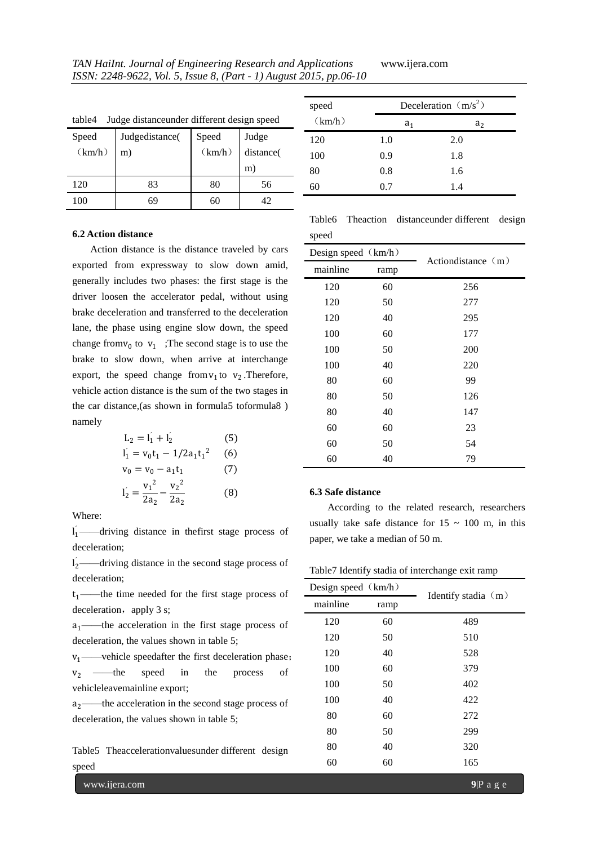| Judge distanceunder different design speed<br>table4 |                |                 |           |
|------------------------------------------------------|----------------|-----------------|-----------|
| Speed                                                | Judgedistance( |                 | Judge     |
| (km/h)                                               | m)             | Speed<br>(km/h) | distance( |
|                                                      |                |                 | m)        |
| 120                                                  | 83             | 80              | 56        |
| 100                                                  | 69             | 60              | 42        |

| speed  | Deceleration $(m/s^2)$ |                |
|--------|------------------------|----------------|
| (km/h) | a <sub>1</sub>         | a <sub>2</sub> |
| 120    | 1.0                    | 2.0            |
| 100    | 0.9                    | 1.8            |
| 80     | 0.8                    | 1.6            |
| 60     | 0.7                    | 1.4            |

#### **6.2 Action distance**

Action distance is the distance traveled by cars exported from expressway to slow down amid, generally includes two phases: the first stage is the driver loosen the accelerator pedal, without using brake deceleration and transferred to the deceleration lane, the phase using engine slow down, the speed change from  $v_0$  to  $v_1$  ; The second stage is to use the brake to slow down, when arrive at interchange export, the speed change from  $v_1$  to  $v_2$ . Therefore, vehicle action distance is the sum of the two stages in the car distance,(as shown in formula5 toformula8 ) namely

$$
L_2 = I_1' + I_2'
$$
(5)  
\n
$$
I_1 = v_0 t_1 - 1/2 a_1 t_1^2
$$
(6)  
\n
$$
v_0 = v_0 - a_1 t_1
$$
(7)  
\n
$$
I_2' = \frac{v_1^2}{2 a_2} - \frac{v_2^2}{2 a_2}
$$
(8)

Where:

 $l_1$  ——driving distance in the first stage process of deceleration;

 $l_2$ ——driving distance in the second stage process of deceleration;

 $t_1$ ——the time needed for the first stage process of deceleration, apply 3 s;

 $a_1$ ——the acceleration in the first stage process of deceleration, the values shown in table 5;

 $v_1$ —vehicle speedafter the first deceleration phase;  $v_2 \longrightarrow$  the speed in the process of vehicleleavemainline export;

 $a_2$ ——the acceleration in the second stage process of deceleration, the values shown in table 5;

Table5 Theaccelerationvaluesunder different design speed

www.ijera.com **9**|P a g e

Table6 Theaction distanceunder different design speed

| Design speed (km/h) |      | Action distance $(m)$ |
|---------------------|------|-----------------------|
| mainline            | ramp |                       |
| 120                 | 60   | 256                   |
| 120                 | 50   | 277                   |
| 120                 | 40   | 295                   |
| 100                 | 60   | 177                   |
| 100                 | 50   | 200                   |
| 100                 | 40   | 220                   |
| 80                  | 60   | 99                    |
| 80                  | 50   | 126                   |
| 80                  | 40   | 147                   |
| 60                  | 60   | 23                    |
| 60                  | 50   | 54                    |
| 60                  | 40   | 79                    |

#### **6.3 Safe distance**

According to the related research, researchers usually take safe distance for  $15 \sim 100$  m, in this paper, we take a median of 50 m.

|  |  | Table7 Identify stadia of interchange exit ramp |  |
|--|--|-------------------------------------------------|--|
|  |  |                                                 |  |

| Design speed $(km/h)$ |      |                     |
|-----------------------|------|---------------------|
| mainline              | ramp | Identify stadia (m) |
| 120                   | 60   | 489                 |
| 120                   | 50   | 510                 |
| 120                   | 40   | 528                 |
| 100                   | 60   | 379                 |
| 100                   | 50   | 402                 |
| 100                   | 40   | 422                 |
| 80                    | 60   | 272                 |
| 80                    | 50   | 299                 |
| 80                    | 40   | 320                 |
| 60                    | 60   | 165                 |